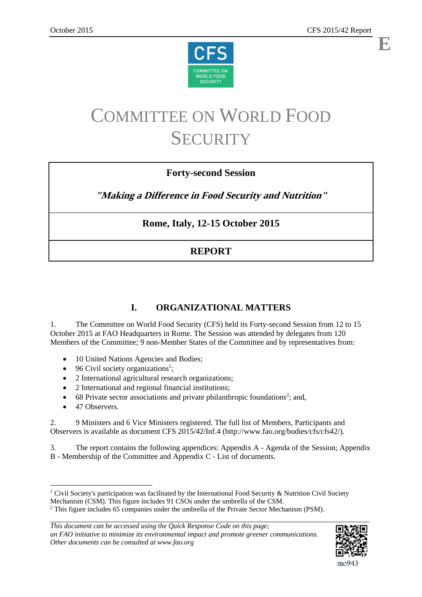



# COMMITTEE ON WORLD FOOD **SECURITY**

# **Forty-second Session**

**"Making a Difference in Food Security and Nutrition"**

# **Rome, Italy, 12-15 October 2015**

# **REPORT**

# **I. ORGANIZATIONAL MATTERS**

1. The Committee on World Food Security (CFS) held its Forty-second Session from 12 to 15 October 2015 at FAO Headquarters in Rome. The Session was attended by delegates from 120 Members of the Committee; 9 non-Member States of the Committee and by representatives from:

- 10 United Nations Agencies and Bodies;
- $\bullet$  96 Civil society organizations<sup>1</sup>;
- 2 International agricultural research organizations;
- 2 International and regional financial institutions;
- $\bullet$  68 Private sector associations and private philanthropic foundations<sup>2</sup>; and,
- 47 Observers.

1

2. 9 Ministers and 6 Vice Ministers registered. The full list of Members, Participants and Observers is available as document CFS 2015/42/Inf.4 (http://www.fao.org/bodies/cfs/cfs42/).

3. The report contains the following appendices: Appendix A - Agenda of the Session; Appendix B - Membership of the Committee and Appendix C - List of documents.



<sup>&</sup>lt;sup>1</sup> Civil Society's participation was facilitated by the International Food Security & Nutrition Civil Society Mechanism (CSM). This figure includes 91 CSOs under the umbrella of the CSM.

<sup>&</sup>lt;sup>2</sup> This figure includes 65 companies under the umbrella of the Private Sector Mechanism (PSM).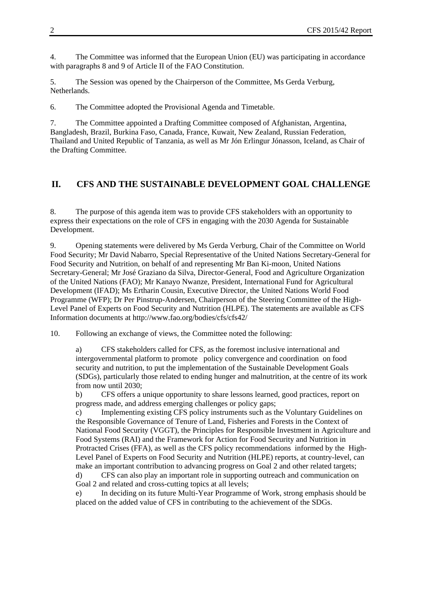4. The Committee was informed that the European Union (EU) was participating in accordance with paragraphs 8 and 9 of Article II of the FAO Constitution.

5. The Session was opened by the Chairperson of the Committee, Ms Gerda Verburg, Netherlands.

6. The Committee adopted the Provisional Agenda and Timetable.

7. The Committee appointed a Drafting Committee composed of Afghanistan, Argentina, Bangladesh, Brazil, Burkina Faso, Canada, France, Kuwait, New Zealand, Russian Federation, Thailand and United Republic of Tanzania, as well as Mr Jón Erlingur Jónasson, Iceland, as Chair of the Drafting Committee.

# **II. CFS AND THE SUSTAINABLE DEVELOPMENT GOAL CHALLENGE**

8. The purpose of this agenda item was to provide CFS stakeholders with an opportunity to express their expectations on the role of CFS in engaging with the 2030 Agenda for Sustainable Development.

9. Opening statements were delivered by Ms Gerda Verburg, Chair of the Committee on World Food Security; Mr David Nabarro, Special Representative of the United Nations Secretary-General for Food Security and Nutrition, on behalf of and representing Mr Ban Ki-moon, United Nations Secretary-General; Mr José Graziano da Silva, Director-General, Food and Agriculture Organization of the United Nations (FAO); Mr Kanayo Nwanze, President, International Fund for Agricultural Development (IFAD); Ms Ertharin Cousin, Executive Director, the United Nations World Food Programme (WFP); Dr Per Pinstrup-Andersen, Chairperson of the Steering Committee of the High-Level Panel of Experts on Food Security and Nutrition (HLPE). The statements are available as CFS Information documents at http://www.fao.org/bodies/cfs/cfs42/

10. Following an exchange of views, the Committee noted the following:

a) CFS stakeholders called for CFS, as the foremost inclusive international and intergovernmental platform to promote policy convergence and coordination on food security and nutrition, to put the implementation of the Sustainable Development Goals (SDGs), particularly those related to ending hunger and malnutrition, at the centre of its work from now until 2030;

b) CFS offers a unique opportunity to share lessons learned, good practices, report on progress made, and address emerging challenges or policy gaps;

c) Implementing existing CFS policy instruments such as the Voluntary Guidelines on the Responsible Governance of Tenure of Land, Fisheries and Forests in the Context of National Food Security (VGGT), the Principles for Responsible Investment in Agriculture and Food Systems (RAI) and the Framework for Action for Food Security and Nutrition in Protracted Crises (FFA), as well as the CFS policy recommendations informed by the High-Level Panel of Experts on Food Security and Nutrition (HLPE) reports, at country-level, can make an important contribution to advancing progress on Goal 2 and other related targets; d) CFS can also play an important role in supporting outreach and communication on Goal 2 and related and cross-cutting topics at all levels;

e) In deciding on its future Multi-Year Programme of Work, strong emphasis should be placed on the added value of CFS in contributing to the achievement of the SDGs.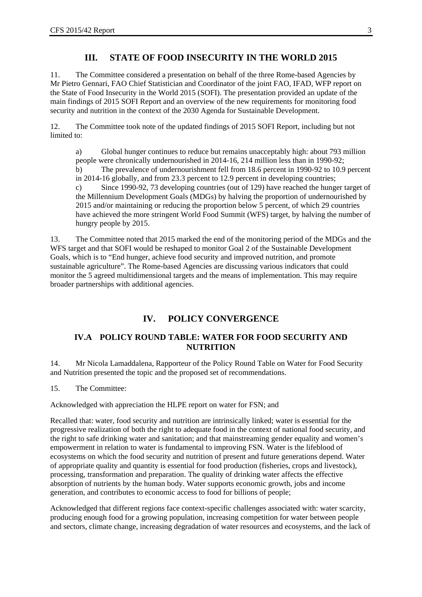# **III. STATE OF FOOD INSECURITY IN THE WORLD 2015**

11. The Committee considered a presentation on behalf of the three Rome-based Agencies by Mr Pietro Gennari, FAO Chief Statistician and Coordinator of the joint FAO, IFAD, WFP report on the State of Food Insecurity in the World 2015 (SOFI). The presentation provided an update of the main findings of 2015 SOFI Report and an overview of the new requirements for monitoring food security and nutrition in the context of the 2030 Agenda for Sustainable Development.

12. The Committee took note of the updated findings of 2015 SOFI Report, including but not limited to:

a) Global hunger continues to reduce but remains unacceptably high: about 793 million people were chronically undernourished in 2014-16, 214 million less than in 1990-92; b) The prevalence of undernourishment fell from 18.6 percent in 1990-92 to 10.9 percent in 2014-16 globally, and from 23.3 percent to 12.9 percent in developing countries; c) Since 1990-92, 73 developing countries (out of 129) have reached the hunger target of the Millennium Development Goals (MDGs) by halving the proportion of undernourished by 2015 and/or maintaining or reducing the proportion below 5 percent, of which 29 countries have achieved the more stringent World Food Summit (WFS) target, by halving the number of hungry people by 2015.

13. The Committee noted that 2015 marked the end of the monitoring period of the MDGs and the WFS target and that SOFI would be reshaped to monitor Goal 2 of the Sustainable Development Goals, which is to "End hunger, achieve food security and improved nutrition, and promote sustainable agriculture". The Rome-based Agencies are discussing various indicators that could monitor the 5 agreed multidimensional targets and the means of implementation. This may require broader partnerships with additional agencies.

# **IV. POLICY CONVERGENCE**

### **IV.A POLICY ROUND TABLE: WATER FOR FOOD SECURITY AND NUTRITION**

14. Mr Nicola Lamaddalena, Rapporteur of the Policy Round Table on Water for Food Security and Nutrition presented the topic and the proposed set of recommendations.

15. The Committee:

Acknowledged with appreciation the HLPE report on water for FSN; and

Recalled that: water, food security and nutrition are intrinsically linked; water is essential for the progressive realization of both the right to adequate food in the context of national food security, and the right to safe drinking water and sanitation; and that mainstreaming gender equality and women's empowerment in relation to water is fundamental to improving FSN. Water is the lifeblood of ecosystems on which the food security and nutrition of present and future generations depend. Water of appropriate quality and quantity is essential for food production (fisheries, crops and livestock), processing, transformation and preparation. The quality of drinking water affects the effective absorption of nutrients by the human body. Water supports economic growth, jobs and income generation, and contributes to economic access to food for billions of people;

Acknowledged that different regions face context-specific challenges associated with: water scarcity, producing enough food for a growing population, increasing competition for water between people and sectors, climate change, increasing degradation of water resources and ecosystems, and the lack of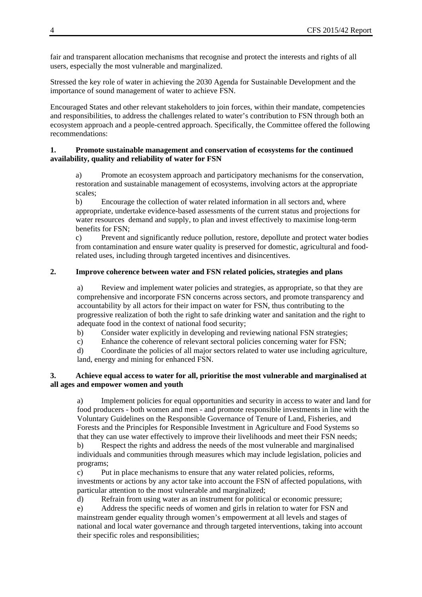fair and transparent allocation mechanisms that recognise and protect the interests and rights of all users, especially the most vulnerable and marginalized.

Stressed the key role of water in achieving the 2030 Agenda for Sustainable Development and the importance of sound management of water to achieve FSN.

Encouraged States and other relevant stakeholders to join forces, within their mandate, competencies and responsibilities, to address the challenges related to water's contribution to FSN through both an ecosystem approach and a people-centred approach. Specifically, the Committee offered the following recommendations:

### **1. Promote sustainable management and conservation of ecosystems for the continued availability, quality and reliability of water for FSN**

a) Promote an ecosystem approach and participatory mechanisms for the conservation, restoration and sustainable management of ecosystems, involving actors at the appropriate scales;

b) Encourage the collection of water related information in all sectors and, where appropriate, undertake evidence-based assessments of the current status and projections for water resources demand and supply, to plan and invest effectively to maximise long-term benefits for FSN;

c) Prevent and significantly reduce pollution, restore, depollute and protect water bodies from contamination and ensure water quality is preserved for domestic, agricultural and foodrelated uses, including through targeted incentives and disincentives.

### **2. Improve coherence between water and FSN related policies, strategies and plans**

a) Review and implement water policies and strategies, as appropriate, so that they are comprehensive and incorporate FSN concerns across sectors, and promote transparency and accountability by all actors for their impact on water for FSN, thus contributing to the progressive realization of both the right to safe drinking water and sanitation and the right to adequate food in the context of national food security;

b) Consider water explicitly in developing and reviewing national FSN strategies;

c) Enhance the coherence of relevant sectoral policies concerning water for FSN;

d) Coordinate the policies of all major sectors related to water use including agriculture, land, energy and mining for enhanced FSN.

### **3. Achieve equal access to water for all, prioritise the most vulnerable and marginalised at all ages and empower women and youth**

a) Implement policies for equal opportunities and security in access to water and land for food producers - both women and men - and promote responsible investments in line with the Voluntary Guidelines on the Responsible Governance of Tenure of Land, Fisheries, and Forests and the Principles for Responsible Investment in Agriculture and Food Systems so that they can use water effectively to improve their livelihoods and meet their FSN needs;

b) Respect the rights and address the needs of the most vulnerable and marginalised individuals and communities through measures which may include legislation, policies and programs;

c) Put in place mechanisms to ensure that any water related policies, reforms, investments or actions by any actor take into account the FSN of affected populations, with particular attention to the most vulnerable and marginalized;

d) Refrain from using water as an instrument for political or economic pressure;

e) Address the specific needs of women and girls in relation to water for FSN and mainstream gender equality through women's empowerment at all levels and stages of national and local water governance and through targeted interventions, taking into account their specific roles and responsibilities;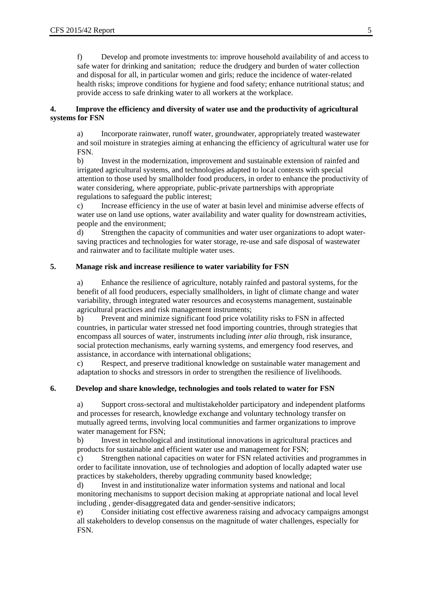f) Develop and promote investments to: improve household availability of and access to safe water for drinking and sanitation; reduce the drudgery and burden of water collection and disposal for all, in particular women and girls; reduce the incidence of water-related health risks; improve conditions for hygiene and food safety; enhance nutritional status; and provide access to safe drinking water to all workers at the workplace.

### **4. Improve the efficiency and diversity of water use and the productivity of agricultural systems for FSN**

a) Incorporate rainwater, runoff water, groundwater, appropriately treated wastewater and soil moisture in strategies aiming at enhancing the efficiency of agricultural water use for FSN.

b) Invest in the modernization, improvement and sustainable extension of rainfed and irrigated agricultural systems, and technologies adapted to local contexts with special attention to those used by smallholder food producers, in order to enhance the productivity of water considering, where appropriate, public-private partnerships with appropriate regulations to safeguard the public interest;

c) Increase efficiency in the use of water at basin level and minimise adverse effects of water use on land use options, water availability and water quality for downstream activities, people and the environment;

d) Strengthen the capacity of communities and water user organizations to adopt watersaving practices and technologies for water storage, re-use and safe disposal of wastewater and rainwater and to facilitate multiple water uses.

### **5. Manage risk and increase resilience to water variability for FSN**

a) Enhance the resilience of agriculture, notably rainfed and pastoral systems, for the benefit of all food producers, especially smallholders, in light of climate change and water variability, through integrated water resources and ecosystems management, sustainable agricultural practices and risk management instruments;

b) Prevent and minimize significant food price volatility risks to FSN in affected countries, in particular water stressed net food importing countries, through strategies that encompass all sources of water, instruments including *inter alia* through, risk insurance, social protection mechanisms, early warning systems, and emergency food reserves, and assistance, in accordance with international obligations;

c) Respect, and preserve traditional knowledge on sustainable water management and adaptation to shocks and stressors in order to strengthen the resilience of livelihoods.

### **6. Develop and share knowledge, technologies and tools related to water for FSN**

a) Support cross-sectoral and multistakeholder participatory and independent platforms and processes for research, knowledge exchange and voluntary technology transfer on mutually agreed terms, involving local communities and farmer organizations to improve water management for FSN;

b) Invest in technological and institutional innovations in agricultural practices and products for sustainable and efficient water use and management for FSN;

c) Strengthen national capacities on water for FSN related activities and programmes in order to facilitate innovation, use of technologies and adoption of locally adapted water use practices by stakeholders, thereby upgrading community based knowledge;

d) Invest in and institutionalize water information systems and national and local monitoring mechanisms to support decision making at appropriate national and local level including , gender-disaggregated data and gender-sensitive indicators;

e) Consider initiating cost effective awareness raising and advocacy campaigns amongst all stakeholders to develop consensus on the magnitude of water challenges, especially for FSN.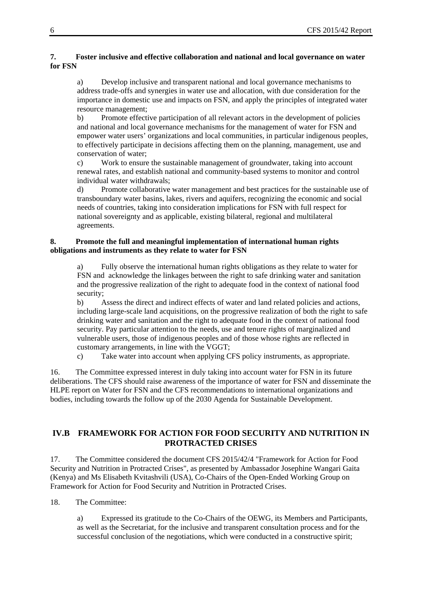### **7. Foster inclusive and effective collaboration and national and local governance on water for FSN**

a) Develop inclusive and transparent national and local governance mechanisms to address trade-offs and synergies in water use and allocation, with due consideration for the importance in domestic use and impacts on FSN, and apply the principles of integrated water resource management;

b) Promote effective participation of all relevant actors in the development of policies and national and local governance mechanisms for the management of water for FSN and empower water users' organizations and local communities, in particular indigenous peoples, to effectively participate in decisions affecting them on the planning, management, use and conservation of water;

c) Work to ensure the sustainable management of groundwater, taking into account renewal rates, and establish national and community-based systems to monitor and control individual water withdrawals;

d) Promote collaborative water management and best practices for the sustainable use of transboundary water basins, lakes, rivers and aquifers, recognizing the economic and social needs of countries, taking into consideration implications for FSN with full respect for national sovereignty and as applicable, existing bilateral, regional and multilateral agreements.

### **8. Promote the full and meaningful implementation of international human rights obligations and instruments as they relate to water for FSN**

Fully observe the international human rights obligations as they relate to water for FSN and acknowledge the linkages between the right to safe drinking water and sanitation and the progressive realization of the right to adequate food in the context of national food security;

b) Assess the direct and indirect effects of water and land related policies and actions, including large-scale land acquisitions, on the progressive realization of both the right to safe drinking water and sanitation and the right to adequate food in the context of national food security. Pay particular attention to the needs, use and tenure rights of marginalized and vulnerable users, those of indigenous peoples and of those whose rights are reflected in customary arrangements, in line with the VGGT;

c) Take water into account when applying CFS policy instruments, as appropriate.

16. The Committee expressed interest in duly taking into account water for FSN in its future deliberations. The CFS should raise awareness of the importance of water for FSN and disseminate the HLPE report on Water for FSN and the CFS recommendations to international organizations and bodies, including towards the follow up of the 2030 Agenda for Sustainable Development.

## **IV.B FRAMEWORK FOR ACTION FOR FOOD SECURITY AND NUTRITION IN PROTRACTED CRISES**

17. The Committee considered the document CFS 2015/42/4 "Framework for Action for Food Security and Nutrition in Protracted Crises", as presented by Ambassador Josephine Wangari Gaita (Kenya) and Ms Elisabeth Kvitashvili (USA), Co-Chairs of the Open-Ended Working Group on Framework for Action for Food Security and Nutrition in Protracted Crises.

18. The Committee:

a) Expressed its gratitude to the Co-Chairs of the OEWG, its Members and Participants, as well as the Secretariat, for the inclusive and transparent consultation process and for the successful conclusion of the negotiations, which were conducted in a constructive spirit;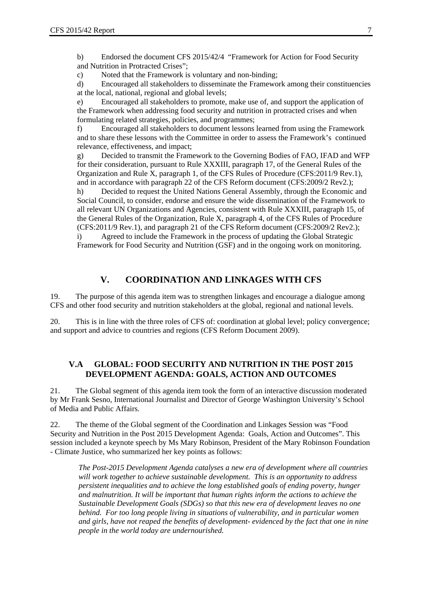b) Endorsed the document CFS 2015/42/4 "Framework for Action for Food Security and Nutrition in Protracted Crises";

c) Noted that the Framework is voluntary and non-binding;

d) Encouraged all stakeholders to disseminate the Framework among their constituencies at the local, national, regional and global levels;

e) Encouraged all stakeholders to promote, make use of, and support the application of the Framework when addressing food security and nutrition in protracted crises and when formulating related strategies, policies, and programmes;

f) Encouraged all stakeholders to document lessons learned from using the Framework and to share these lessons with the Committee in order to assess the Framework's continued relevance, effectiveness, and impact;

g) Decided to transmit the Framework to the Governing Bodies of FAO, IFAD and WFP for their consideration, pursuant to Rule XXXIII, paragraph 17, of the General Rules of the Organization and Rule X, paragraph 1, of the CFS Rules of Procedure (CFS:2011/9 Rev.1), and in accordance with paragraph 22 of the CFS Reform document (CFS:2009/2 Rev2.);

h) Decided to request the United Nations General Assembly, through the Economic and Social Council, to consider, endorse and ensure the wide dissemination of the Framework to all relevant UN Organizations and Agencies, consistent with Rule XXXIII, paragraph 15, of the General Rules of the Organization, Rule X, paragraph 4, of the CFS Rules of Procedure (CFS:2011/9 Rev.1), and paragraph 21 of the CFS Reform document (CFS:2009/2 Rev2.); i) Agreed to include the Framework in the process of updating the Global Strategic

Framework for Food Security and Nutrition (GSF) and in the ongoing work on monitoring.

### **V. COORDINATION AND LINKAGES WITH CFS**

19. The purpose of this agenda item was to strengthen linkages and encourage a dialogue among CFS and other food security and nutrition stakeholders at the global, regional and national levels.

20. This is in line with the three roles of CFS of: coordination at global level; policy convergence; and support and advice to countries and regions (CFS Reform Document 2009).

### **V.A GLOBAL: FOOD SECURITY AND NUTRITION IN THE POST 2015 DEVELOPMENT AGENDA: GOALS, ACTION AND OUTCOMES**

21. The Global segment of this agenda item took the form of an interactive discussion moderated by Mr Frank Sesno, International Journalist and Director of George Washington University's School of Media and Public Affairs.

22. The theme of the Global segment of the Coordination and Linkages Session was "Food Security and Nutrition in the Post 2015 Development Agenda: Goals, Action and Outcomes". This session included a keynote speech by Ms Mary Robinson, President of the Mary Robinson Foundation - Climate Justice, who summarized her key points as follows:

*The Post-2015 Development Agenda catalyses a new era of development where all countries will work together to achieve sustainable development. This is an opportunity to address persistent inequalities and to achieve the long established goals of ending poverty, hunger and malnutrition. It will be important that human rights inform the actions to achieve the Sustainable Development Goals (SDGs) so that this new era of development leaves no one behind. For too long people living in situations of vulnerability, and in particular women and girls, have not reaped the benefits of development- evidenced by the fact that one in nine people in the world today are undernourished.*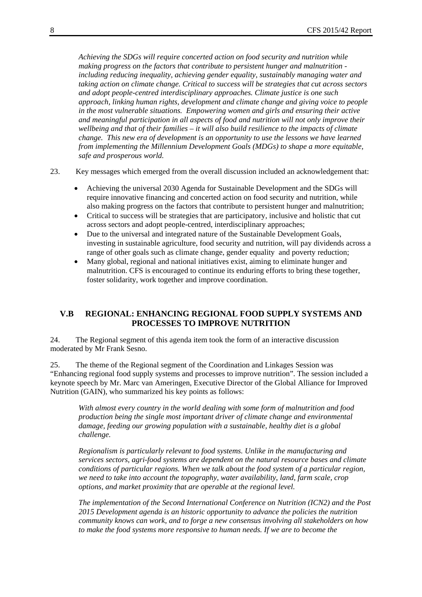*Achieving the SDGs will require concerted action on food security and nutrition while making progress on the factors that contribute to persistent hunger and malnutrition including reducing inequality, achieving gender equality, sustainably managing water and taking action on climate change. Critical to success will be strategies that cut across sectors and adopt people-centred interdisciplinary approaches. Climate justice is one such approach, linking human rights, development and climate change and giving voice to people in the most vulnerable situations. Empowering women and girls and ensuring their active and meaningful participation in all aspects of food and nutrition will not only improve their wellbeing and that of their families – it will also build resilience to the impacts of climate change. This new era of development is an opportunity to use the lessons we have learned from implementing the Millennium Development Goals (MDGs) to shape a more equitable, safe and prosperous world.* 

- 23. Key messages which emerged from the overall discussion included an acknowledgement that:
	- Achieving the universal 2030 Agenda for Sustainable Development and the SDGs will require innovative financing and concerted action on food security and nutrition, while also making progress on the factors that contribute to persistent hunger and malnutrition;
	- Critical to success will be strategies that are participatory, inclusive and holistic that cut across sectors and adopt people-centred, interdisciplinary approaches;
	- Due to the universal and integrated nature of the Sustainable Development Goals, investing in sustainable agriculture, food security and nutrition, will pay dividends across a range of other goals such as climate change, gender equality and poverty reduction;
	- Many global, regional and national initiatives exist, aiming to eliminate hunger and malnutrition. CFS is encouraged to continue its enduring efforts to bring these together, foster solidarity, work together and improve coordination.

### **V.B REGIONAL: ENHANCING REGIONAL FOOD SUPPLY SYSTEMS AND PROCESSES TO IMPROVE NUTRITION**

24. The Regional segment of this agenda item took the form of an interactive discussion moderated by Mr Frank Sesno.

25. The theme of the Regional segment of the Coordination and Linkages Session was "Enhancing regional food supply systems and processes to improve nutrition". The session included a keynote speech by Mr. Marc van Ameringen, Executive Director of the Global Alliance for Improved Nutrition (GAIN), who summarized his key points as follows:

*With almost every country in the world dealing with some form of malnutrition and food production being the single most important driver of climate change and environmental damage, feeding our growing population with a sustainable, healthy diet is a global challenge.* 

*Regionalism is particularly relevant to food systems. Unlike in the manufacturing and services sectors, agri-food systems are dependent on the natural resource bases and climate conditions of particular regions. When we talk about the food system of a particular region, we need to take into account the topography, water availability, land, farm scale, crop options, and market proximity that are operable at the regional level.* 

*The implementation of the Second International Conference on Nutrition (ICN2) and the Post 2015 Development agenda is an historic opportunity to advance the policies the nutrition community knows can work, and to forge a new consensus involving all stakeholders on how to make the food systems more responsive to human needs. If we are to become the*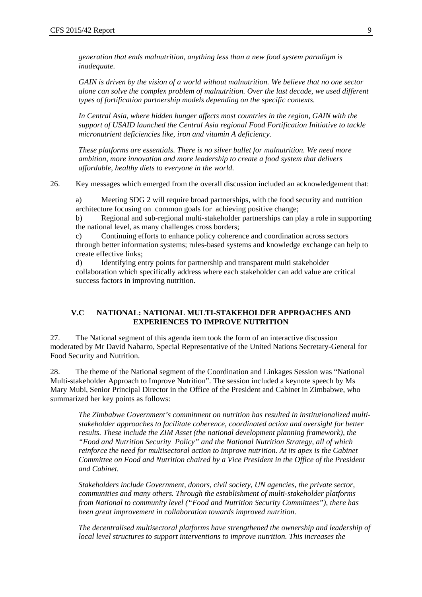*generation that ends malnutrition, anything less than a new food system paradigm is inadequate.* 

*GAIN is driven by the vision of a world without malnutrition. We believe that no one sector alone can solve the complex problem of malnutrition. Over the last decade, we used different types of fortification partnership models depending on the specific contexts.* 

*In Central Asia, where hidden hunger affects most countries in the region, GAIN with the support of USAID launched the Central Asia regional Food Fortification Initiative to tackle micronutrient deficiencies like, iron and vitamin A deficiency.* 

*These platforms are essentials. There is no silver bullet for malnutrition. We need more ambition, more innovation and more leadership to create a food system that delivers affordable, healthy diets to everyone in the world.* 

26. Key messages which emerged from the overall discussion included an acknowledgement that:

a) Meeting SDG 2 will require broad partnerships, with the food security and nutrition architecture focusing on common goals for achieving positive change;

b) Regional and sub-regional multi-stakeholder partnerships can play a role in supporting the national level, as many challenges cross borders;

c) Continuing efforts to enhance policy coherence and coordination across sectors through better information systems; rules-based systems and knowledge exchange can help to create effective links;

d) Identifying entry points for partnership and transparent multi stakeholder collaboration which specifically address where each stakeholder can add value are critical success factors in improving nutrition.

### **V.C NATIONAL: NATIONAL MULTI-STAKEHOLDER APPROACHES AND EXPERIENCES TO IMPROVE NUTRITION**

27. The National segment of this agenda item took the form of an interactive discussion moderated by Mr David Nabarro, Special Representative of the United Nations Secretary-General for Food Security and Nutrition.

28. The theme of the National segment of the Coordination and Linkages Session was "National Multi-stakeholder Approach to Improve Nutrition". The session included a keynote speech by Ms Mary Mubi, Senior Principal Director in the Office of the President and Cabinet in Zimbabwe, who summarized her key points as follows:

*The Zimbabwe Government's commitment on nutrition has resulted in institutionalized multistakeholder approaches to facilitate coherence, coordinated action and oversight for better results. These include the ZIM Asset (the national development planning framework), the "Food and Nutrition Security Policy" and the National Nutrition Strategy, all of which reinforce the need for multisectoral action to improve nutrition. At its apex is the Cabinet Committee on Food and Nutrition chaired by a Vice President in the Office of the President and Cabinet.* 

*Stakeholders include Government, donors, civil society, UN agencies, the private sector, communities and many others. Through the establishment of multi-stakeholder platforms from National to community level ("Food and Nutrition Security Committees"), there has been great improvement in collaboration towards improved nutrition.* 

*The decentralised multisectoral platforms have strengthened the ownership and leadership of local level structures to support interventions to improve nutrition. This increases the*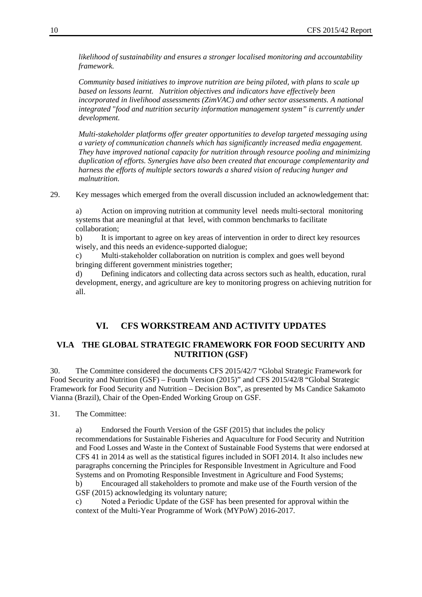*likelihood of sustainability and ensures a stronger localised monitoring and accountability framework.* 

*Community based initiatives to improve nutrition are being piloted, with plans to scale up based on lessons learnt. Nutrition objectives and indicators have effectively been incorporated in livelihood assessments (ZimVAC) and other sector assessments. A national integrated* "*food and nutrition security information management system" is currently under development.* 

*Multi-stakeholder platforms offer greater opportunities to develop targeted messaging using a variety of communication channels which has significantly increased media engagement. They have improved national capacity for nutrition through resource pooling and minimizing duplication of efforts. Synergies have also been created that encourage complementarity and harness the efforts of multiple sectors towards a shared vision of reducing hunger and malnutrition.* 

29. Key messages which emerged from the overall discussion included an acknowledgement that:

a) Action on improving nutrition at community level needs multi-sectoral monitoring systems that are meaningful at that level, with common benchmarks to facilitate collaboration;

b) It is important to agree on key areas of intervention in order to direct key resources wisely, and this needs an evidence-supported dialogue;

c) Multi-stakeholder collaboration on nutrition is complex and goes well beyond bringing different government ministries together;

d) Defining indicators and collecting data across sectors such as health, education, rural development, energy, and agriculture are key to monitoring progress on achieving nutrition for all.

### **VI. CFS WORKSTREAM AND ACTIVITY UPDATES**

### **VI.A THE GLOBAL STRATEGIC FRAMEWORK FOR FOOD SECURITY AND NUTRITION (GSF)**

30. The Committee considered the documents CFS 2015/42/7 "Global Strategic Framework for Food Security and Nutrition (GSF) – Fourth Version (2015)" and CFS 2015/42/8 "Global Strategic Framework for Food Security and Nutrition – Decision Box", as presented by Ms Candice Sakamoto Vianna (Brazil), Chair of the Open-Ended Working Group on GSF.

31. The Committee:

a) Endorsed the Fourth Version of the GSF (2015) that includes the policy recommendations for Sustainable Fisheries and Aquaculture for Food Security and Nutrition and Food Losses and Waste in the Context of Sustainable Food Systems that were endorsed at CFS 41 in 2014 as well as the statistical figures included in SOFI 2014. It also includes new paragraphs concerning the Principles for Responsible Investment in Agriculture and Food Systems and on Promoting Responsible Investment in Agriculture and Food Systems; b) Encouraged all stakeholders to promote and make use of the Fourth version of the GSF (2015) acknowledging its voluntary nature;

c) Noted a Periodic Update of the GSF has been presented for approval within the context of the Multi-Year Programme of Work (MYPoW) 2016-2017.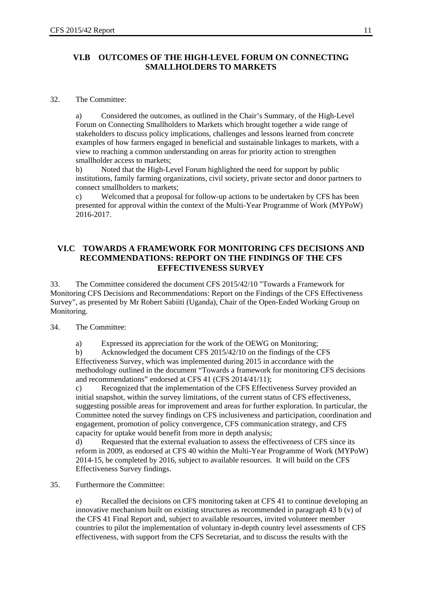### **VI.B OUTCOMES OF THE HIGH-LEVEL FORUM ON CONNECTING SMALLHOLDERS TO MARKETS**

### 32. The Committee:

a) Considered the outcomes, as outlined in the Chair's Summary, of the High-Level Forum on Connecting Smallholders to Markets which brought together a wide range of stakeholders to discuss policy implications, challenges and lessons learned from concrete examples of how farmers engaged in beneficial and sustainable linkages to markets, with a view to reaching a common understanding on areas for priority action to strengthen smallholder access to markets;

b) Noted that the High-Level Forum highlighted the need for support by public institutions, family farming organizations, civil society, private sector and donor partners to connect smallholders to markets;

c) Welcomed that a proposal for follow-up actions to be undertaken by CFS has been presented for approval within the context of the Multi-Year Programme of Work (MYPoW) 2016-2017.

### **VI.C TOWARDS A FRAMEWORK FOR MONITORING CFS DECISIONS AND RECOMMENDATIONS: REPORT ON THE FINDINGS OF THE CFS EFFECTIVENESS SURVEY**

33. The Committee considered the document CFS 2015/42/10 "Towards a Framework for Monitoring CFS Decisions and Recommendations: Report on the Findings of the CFS Effectiveness Survey", as presented by Mr Robert Sabiiti (Uganda), Chair of the Open-Ended Working Group on Monitoring.

34. The Committee:

a) Expressed its appreciation for the work of the OEWG on Monitoring;

b) Acknowledged the document CFS 2015/42/10 on the findings of the CFS Effectiveness Survey, which was implemented during 2015 in accordance with the methodology outlined in the document "Towards a framework for monitoring CFS decisions and recommendations" endorsed at CFS 41 (CFS 2014/41/11);

c) Recognized that the implementation of the CFS Effectiveness Survey provided an initial snapshot, within the survey limitations, of the current status of CFS effectiveness, suggesting possible areas for improvement and areas for further exploration. In particular, the Committee noted the survey findings on CFS inclusiveness and participation, coordination and engagement, promotion of policy convergence, CFS communication strategy, and CFS capacity for uptake would benefit from more in depth analysis;

d) Requested that the external evaluation to assess the effectiveness of CFS since its reform in 2009, as endorsed at CFS 40 within the Multi-Year Programme of Work (MYPoW) 2014-15, be completed by 2016, subject to available resources. It will build on the CFS Effectiveness Survey findings.

35. Furthermore the Committee:

e) Recalled the decisions on CFS monitoring taken at CFS 41 to continue developing an innovative mechanism built on existing structures as recommended in paragraph 43 b (v) of the CFS 41 Final Report and, subject to available resources, invited volunteer member countries to pilot the implementation of voluntary in-depth country level assessments of CFS effectiveness, with support from the CFS Secretariat, and to discuss the results with the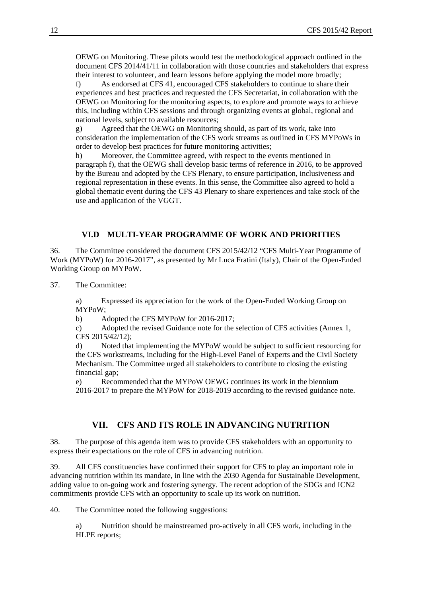OEWG on Monitoring. These pilots would test the methodological approach outlined in the document CFS 2014/41/11 in collaboration with those countries and stakeholders that express their interest to volunteer, and learn lessons before applying the model more broadly;

f) As endorsed at CFS 41, encouraged CFS stakeholders to continue to share their experiences and best practices and requested the CFS Secretariat, in collaboration with the OEWG on Monitoring for the monitoring aspects, to explore and promote ways to achieve this, including within CFS sessions and through organizing events at global, regional and national levels, subject to available resources;

g) Agreed that the OEWG on Monitoring should, as part of its work, take into consideration the implementation of the CFS work streams as outlined in CFS MYPoWs in order to develop best practices for future monitoring activities;

h) Moreover, the Committee agreed, with respect to the events mentioned in paragraph f), that the OEWG shall develop basic terms of reference in 2016, to be approved by the Bureau and adopted by the CFS Plenary, to ensure participation, inclusiveness and regional representation in these events. In this sense, the Committee also agreed to hold a global thematic event during the CFS 43 Plenary to share experiences and take stock of the use and application of the VGGT.

### **VI.D MULTI-YEAR PROGRAMME OF WORK AND PRIORITIES**

36. The Committee considered the document CFS 2015/42/12 "CFS Multi-Year Programme of Work (MYPoW) for 2016-2017", as presented by Mr Luca Fratini (Italy), Chair of the Open-Ended Working Group on MYPoW.

37. The Committee:

a) Expressed its appreciation for the work of the Open-Ended Working Group on MYPoW;

b) Adopted the CFS MYPoW for 2016-2017;

c) Adopted the revised Guidance note for the selection of CFS activities (Annex 1, CFS 2015/42/12);

d) Noted that implementing the MYPoW would be subject to sufficient resourcing for the CFS workstreams, including for the High-Level Panel of Experts and the Civil Society Mechanism. The Committee urged all stakeholders to contribute to closing the existing financial gap;

e) Recommended that the MYPoW OEWG continues its work in the biennium 2016-2017 to prepare the MYPoW for 2018-2019 according to the revised guidance note.

### **VII. CFS AND ITS ROLE IN ADVANCING NUTRITION**

38. The purpose of this agenda item was to provide CFS stakeholders with an opportunity to express their expectations on the role of CFS in advancing nutrition.

39. All CFS constituencies have confirmed their support for CFS to play an important role in advancing nutrition within its mandate, in line with the 2030 Agenda for Sustainable Development, adding value to on-going work and fostering synergy. The recent adoption of the SDGs and ICN2 commitments provide CFS with an opportunity to scale up its work on nutrition.

40. The Committee noted the following suggestions:

a) Nutrition should be mainstreamed pro-actively in all CFS work, including in the HLPE reports;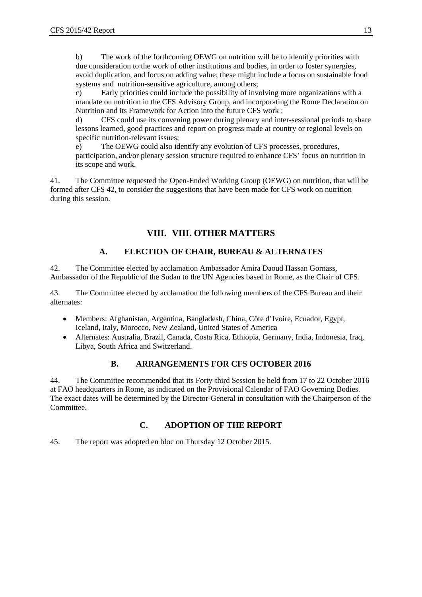b) The work of the forthcoming OEWG on nutrition will be to identify priorities with due consideration to the work of other institutions and bodies, in order to foster synergies, avoid duplication, and focus on adding value; these might include a focus on sustainable food systems and nutrition-sensitive agriculture, among others;

c) Early priorities could include the possibility of involving more organizations with a mandate on nutrition in the CFS Advisory Group, and incorporating the Rome Declaration on Nutrition and its Framework for Action into the future CFS work ;

d) CFS could use its convening power during plenary and inter-sessional periods to share lessons learned, good practices and report on progress made at country or regional levels on specific nutrition-relevant issues;

e) The OEWG could also identify any evolution of CFS processes, procedures, participation, and/or plenary session structure required to enhance CFS' focus on nutrition in its scope and work.

41. The Committee requested the Open-Ended Working Group (OEWG) on nutrition, that will be formed after CFS 42, to consider the suggestions that have been made for CFS work on nutrition during this session.

# **VIII. VIII. OTHER MATTERS**

# **A. ELECTION OF CHAIR, BUREAU & ALTERNATES**

42. The Committee elected by acclamation Ambassador Amira Daoud Hassan Gornass, Ambassador of the Republic of the Sudan to the UN Agencies based in Rome, as the Chair of CFS.

43. The Committee elected by acclamation the following members of the CFS Bureau and their alternates:

- Members: Afghanistan, Argentina, Bangladesh, China, Côte d'Ivoire, Ecuador, Egypt, Iceland, Italy, Morocco, New Zealand, United States of America
- Alternates: Australia, Brazil, Canada, Costa Rica, Ethiopia, Germany, India, Indonesia, Iraq, Libya, South Africa and Switzerland.

### **B. ARRANGEMENTS FOR CFS OCTOBER 2016**

44. The Committee recommended that its Forty-third Session be held from 17 to 22 October 2016 at FAO headquarters in Rome, as indicated on the Provisional Calendar of FAO Governing Bodies. The exact dates will be determined by the Director-General in consultation with the Chairperson of the Committee.

### **C. ADOPTION OF THE REPORT**

45. The report was adopted en bloc on Thursday 12 October 2015.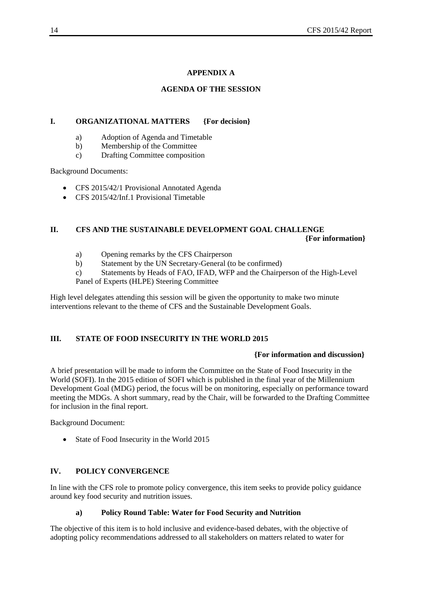### **APPENDIX A**

### **AGENDA OF THE SESSION**

### **I. ORGANIZATIONAL MATTERS {For decision}**

- a) Adoption of Agenda and Timetable
- b) Membership of the Committee
- c) Drafting Committee composition

Background Documents:

- CFS 2015/42/1 Provisional Annotated Agenda
- CFS 2015/42/Inf.1 Provisional Timetable

### **II. CFS AND THE SUSTAINABLE DEVELOPMENT GOAL CHALLENGE {For information}**

- a) Opening remarks by the CFS Chairperson
- b) Statement by the UN Secretary-General (to be confirmed)
- c) Statements by Heads of FAO, IFAD, WFP and the Chairperson of the High-Level Panel of Experts (HLPE) Steering Committee

High level delegates attending this session will be given the opportunity to make two minute interventions relevant to the theme of CFS and the Sustainable Development Goals.

### **III. STATE OF FOOD INSECURITY IN THE WORLD 2015**

### **{For information and discussion}**

A brief presentation will be made to inform the Committee on the State of Food Insecurity in the World (SOFI). In the 2015 edition of SOFI which is published in the final year of the Millennium Development Goal (MDG) period, the focus will be on monitoring, especially on performance toward meeting the MDGs. A short summary, read by the Chair, will be forwarded to the Drafting Committee for inclusion in the final report.

Background Document:

• State of Food Insecurity in the World 2015

### **IV. POLICY CONVERGENCE**

In line with the CFS role to promote policy convergence, this item seeks to provide policy guidance around key food security and nutrition issues.

### **a) Policy Round Table: Water for Food Security and Nutrition**

The objective of this item is to hold inclusive and evidence-based debates, with the objective of adopting policy recommendations addressed to all stakeholders on matters related to water for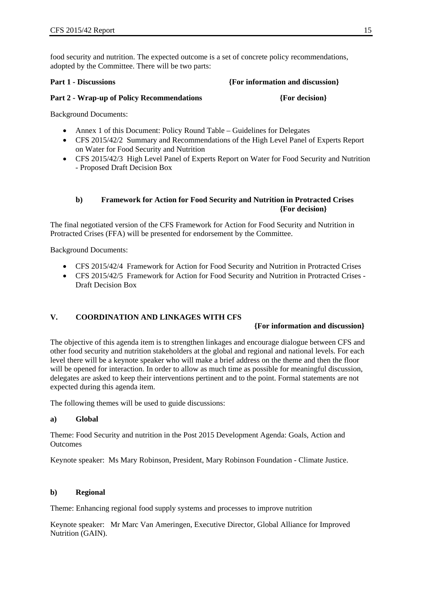food security and nutrition. The expected outcome is a set of concrete policy recommendations, adopted by the Committee. There will be two parts:

**Part 1 - Discussions** *Part 1* **- Discussions <b>***Part 1* - Discussions *Part 1* - Discussions *Part 1* - Discussions *Part 1* - Discussions *Part 1* - Discussions *Part 1* - Discussions *Part 1* - Discussions

### Part 2 - Wrap-up of Policy Recommendations *{For decision}*

Background Documents:

- Annex 1 of this Document: Policy Round Table Guidelines for Delegates
- CFS 2015/42/2 Summary and Recommendations of the High Level Panel of Experts Report on Water for Food Security and Nutrition
- CFS 2015/42/3 High Level Panel of Experts Report on Water for Food Security and Nutrition - Proposed Draft Decision Box

### **b) Framework for Action for Food Security and Nutrition in Protracted Crises {For decision}**

The final negotiated version of the CFS Framework for Action for Food Security and Nutrition in Protracted Crises (FFA) will be presented for endorsement by the Committee.

Background Documents:

- CFS 2015/42/4 Framework for Action for Food Security and Nutrition in Protracted Crises
- CFS 2015/42/5 Framework for Action for Food Security and Nutrition in Protracted Crises Draft Decision Box

### **V. COORDINATION AND LINKAGES WITH CFS**

### **{For information and discussion}**

The objective of this agenda item is to strengthen linkages and encourage dialogue between CFS and other food security and nutrition stakeholders at the global and regional and national levels. For each level there will be a keynote speaker who will make a brief address on the theme and then the floor will be opened for interaction. In order to allow as much time as possible for meaningful discussion, delegates are asked to keep their interventions pertinent and to the point. Formal statements are not expected during this agenda item.

The following themes will be used to guide discussions:

### **a) Global**

Theme: Food Security and nutrition in the Post 2015 Development Agenda: Goals, Action and **Outcomes** 

Keynote speaker: Ms Mary Robinson, President, Mary Robinson Foundation - Climate Justice.

### **b) Regional**

Theme: Enhancing regional food supply systems and processes to improve nutrition

Keynote speaker: Mr Marc Van Ameringen, Executive Director, Global Alliance for Improved Nutrition (GAIN).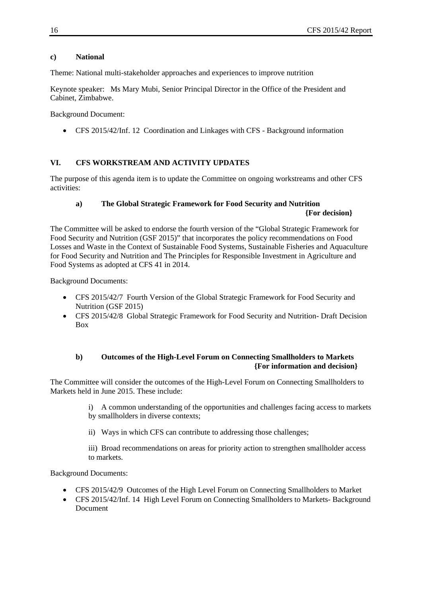### **c) National**

Theme: National multi-stakeholder approaches and experiences to improve nutrition

Keynote speaker: Ms Mary Mubi, Senior Principal Director in the Office of the President and Cabinet, Zimbabwe.

Background Document:

CFS 2015/42/Inf. 12 Coordination and Linkages with CFS - Background information

### **VI. CFS WORKSTREAM AND ACTIVITY UPDATES**

The purpose of this agenda item is to update the Committee on ongoing workstreams and other CFS activities:

### **a) The Global Strategic Framework for Food Security and Nutrition {For decision}**

The Committee will be asked to endorse the fourth version of the "Global Strategic Framework for Food Security and Nutrition (GSF 2015)" that incorporates the policy recommendations on Food Losses and Waste in the Context of Sustainable Food Systems, Sustainable Fisheries and Aquaculture for Food Security and Nutrition and The Principles for Responsible Investment in Agriculture and Food Systems as adopted at CFS 41 in 2014.

Background Documents:

- CFS 2015/42/7 Fourth Version of the Global Strategic Framework for Food Security and Nutrition (GSF 2015)
- CFS 2015/42/8 Global Strategic Framework for Food Security and Nutrition- Draft Decision Box

### **b) Outcomes of the High-Level Forum on Connecting Smallholders to Markets {For information and decision}**

The Committee will consider the outcomes of the High-Level Forum on Connecting Smallholders to Markets held in June 2015. These include:

> i) A common understanding of the opportunities and challenges facing access to markets by smallholders in diverse contexts;

ii) Ways in which CFS can contribute to addressing those challenges;

iii) Broad recommendations on areas for priority action to strengthen smallholder access to markets.

Background Documents:

- CFS 2015/42/9 Outcomes of the High Level Forum on Connecting Smallholders to Market
- CFS 2015/42/Inf. 14 High Level Forum on Connecting Smallholders to Markets- Background Document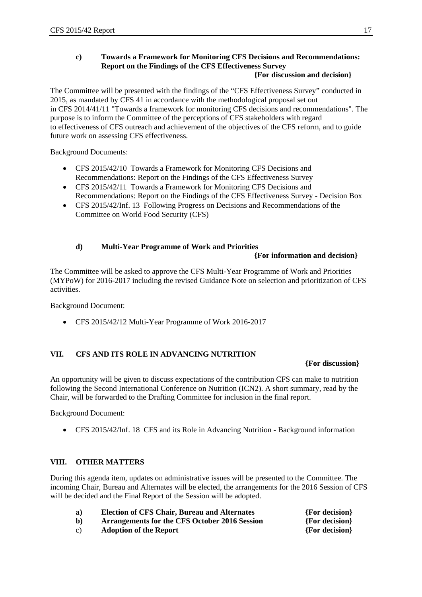# **c) Towards a Framework for Monitoring CFS Decisions and Recommendations: Report on the Findings of the CFS Effectiveness Survey**

### **{For discussion and decision}**

The Committee will be presented with the findings of the "CFS Effectiveness Survey" conducted in 2015, as mandated by CFS 41 in accordance with the methodological proposal set out in CFS 2014/41/11 "Towards a framework for monitoring CFS decisions and recommendations". The purpose is to inform the Committee of the perceptions of CFS stakeholders with regard to effectiveness of CFS outreach and achievement of the objectives of the CFS reform, and to guide future work on assessing CFS effectiveness.

Background Documents:

- CFS 2015/42/10 Towards a Framework for Monitoring CFS Decisions and Recommendations: Report on the Findings of the CFS Effectiveness Survey
- CFS 2015/42/11 Towards a Framework for Monitoring CFS Decisions and Recommendations: Report on the Findings of the CFS Effectiveness Survey - Decision Box
- CFS 2015/42/Inf. 13 Following Progress on Decisions and Recommendations of the Committee on World Food Security (CFS)

### **d) Multi-Year Programme of Work and Priorities**

### **{For information and decision}**

The Committee will be asked to approve the CFS Multi-Year Programme of Work and Priorities (MYPoW) for 2016-2017 including the revised Guidance Note on selection and prioritization of CFS activities.

Background Document:

CFS 2015/42/12 Multi-Year Programme of Work 2016-2017

### **VII. CFS AND ITS ROLE IN ADVANCING NUTRITION**

### **{For discussion}**

An opportunity will be given to discuss expectations of the contribution CFS can make to nutrition following the Second International Conference on Nutrition (ICN2). A short summary, read by the Chair, will be forwarded to the Drafting Committee for inclusion in the final report.

Background Document:

CFS 2015/42/Inf. 18 CFS and its Role in Advancing Nutrition - Background information

### **VIII. OTHER MATTERS**

During this agenda item, updates on administrative issues will be presented to the Committee. The incoming Chair, Bureau and Alternates will be elected, the arrangements for the 2016 Session of CFS will be decided and the Final Report of the Session will be adopted.

- **a) Election of CFS Chair, Bureau and Alternates {For decision}**
- **b) Arrangements for the CFS October 2016 Session {For decision}**
- c) **Adoption of the Report {For decision}**
-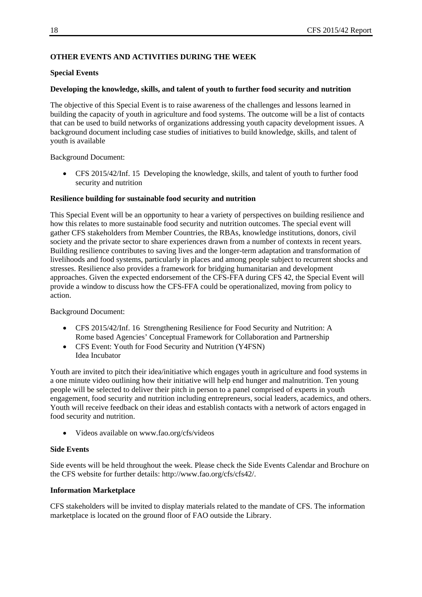### **OTHER EVENTS AND ACTIVITIES DURING THE WEEK**

### **Special Events**

### **Developing the knowledge, skills, and talent of youth to further food security and nutrition**

The objective of this Special Event is to raise awareness of the challenges and lessons learned in building the capacity of youth in agriculture and food systems. The outcome will be a list of contacts that can be used to build networks of organizations addressing youth capacity development issues. A background document including case studies of initiatives to build knowledge, skills, and talent of youth is available

Background Document:

 CFS 2015/42/Inf. 15 Developing the knowledge, skills, and talent of youth to further food security and nutrition

### **Resilience building for sustainable food security and nutrition**

This Special Event will be an opportunity to hear a variety of perspectives on building resilience and how this relates to more sustainable food security and nutrition outcomes. The special event will gather CFS stakeholders from Member Countries, the RBAs, knowledge institutions, donors, civil society and the private sector to share experiences drawn from a number of contexts in recent years. Building resilience contributes to saving lives and the longer-term adaptation and transformation of livelihoods and food systems, particularly in places and among people subject to recurrent shocks and stresses. Resilience also provides a framework for bridging humanitarian and development approaches. Given the expected endorsement of the CFS-FFA during CFS 42, the Special Event will provide a window to discuss how the CFS-FFA could be operationalized, moving from policy to action.

Background Document:

- CFS 2015/42/Inf. 16 Strengthening Resilience for Food Security and Nutrition: A Rome based Agencies' Conceptual Framework for Collaboration and Partnership
- CFS Event: Youth for Food Security and Nutrition (Y4FSN) Idea Incubator

Youth are invited to pitch their idea/initiative which engages youth in agriculture and food systems in a one minute video outlining how their initiative will help end hunger and malnutrition. Ten young people will be selected to deliver their pitch in person to a panel comprised of experts in youth engagement, food security and nutrition including entrepreneurs, social leaders, academics, and others. Youth will receive feedback on their ideas and establish contacts with a network of actors engaged in food security and nutrition.

Videos available on www.fao.org/cfs/videos

### **Side Events**

Side events will be held throughout the week. Please check the Side Events Calendar and Brochure on the CFS website for further details: http://www.fao.org/cfs/cfs42/.

### **Information Marketplace**

CFS stakeholders will be invited to display materials related to the mandate of CFS. The information marketplace is located on the ground floor of FAO outside the Library.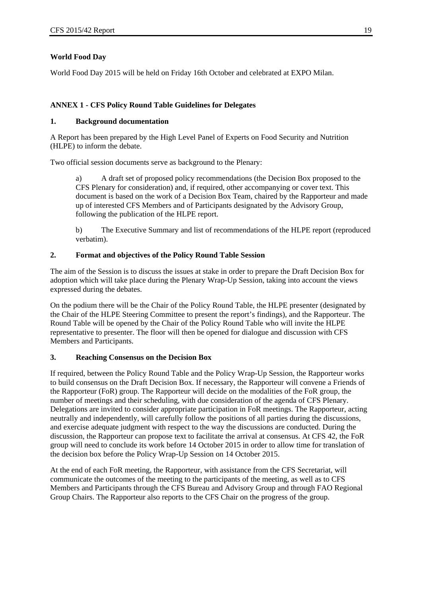### **World Food Day**

World Food Day 2015 will be held on Friday 16th October and celebrated at EXPO Milan.

### **ANNEX 1 - CFS Policy Round Table Guidelines for Delegates**

### **1. Background documentation**

A Report has been prepared by the High Level Panel of Experts on Food Security and Nutrition (HLPE) to inform the debate.

Two official session documents serve as background to the Plenary:

a) A draft set of proposed policy recommendations (the Decision Box proposed to the CFS Plenary for consideration) and, if required, other accompanying or cover text. This document is based on the work of a Decision Box Team, chaired by the Rapporteur and made up of interested CFS Members and of Participants designated by the Advisory Group, following the publication of the HLPE report.

b) The Executive Summary and list of recommendations of the HLPE report (reproduced verbatim).

### **2. Format and objectives of the Policy Round Table Session**

The aim of the Session is to discuss the issues at stake in order to prepare the Draft Decision Box for adoption which will take place during the Plenary Wrap-Up Session, taking into account the views expressed during the debates.

On the podium there will be the Chair of the Policy Round Table, the HLPE presenter (designated by the Chair of the HLPE Steering Committee to present the report's findings), and the Rapporteur. The Round Table will be opened by the Chair of the Policy Round Table who will invite the HLPE representative to presenter. The floor will then be opened for dialogue and discussion with CFS Members and Participants.

### **3. Reaching Consensus on the Decision Box**

If required, between the Policy Round Table and the Policy Wrap-Up Session, the Rapporteur works to build consensus on the Draft Decision Box. If necessary, the Rapporteur will convene a Friends of the Rapporteur (FoR) group. The Rapporteur will decide on the modalities of the FoR group, the number of meetings and their scheduling, with due consideration of the agenda of CFS Plenary. Delegations are invited to consider appropriate participation in FoR meetings. The Rapporteur, acting neutrally and independently, will carefully follow the positions of all parties during the discussions, and exercise adequate judgment with respect to the way the discussions are conducted. During the discussion, the Rapporteur can propose text to facilitate the arrival at consensus. At CFS 42, the FoR group will need to conclude its work before 14 October 2015 in order to allow time for translation of the decision box before the Policy Wrap-Up Session on 14 October 2015.

At the end of each FoR meeting, the Rapporteur, with assistance from the CFS Secretariat, will communicate the outcomes of the meeting to the participants of the meeting, as well as to CFS Members and Participants through the CFS Bureau and Advisory Group and through FAO Regional Group Chairs. The Rapporteur also reports to the CFS Chair on the progress of the group.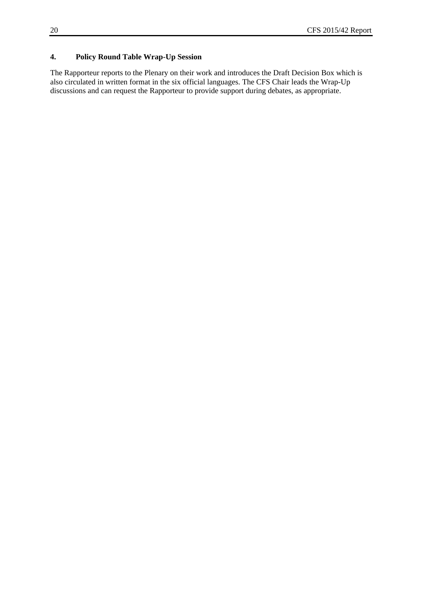## **4. Policy Round Table Wrap-Up Session**

The Rapporteur reports to the Plenary on their work and introduces the Draft Decision Box which is also circulated in written format in the six official languages. The CFS Chair leads the Wrap-Up discussions and can request the Rapporteur to provide support during debates, as appropriate.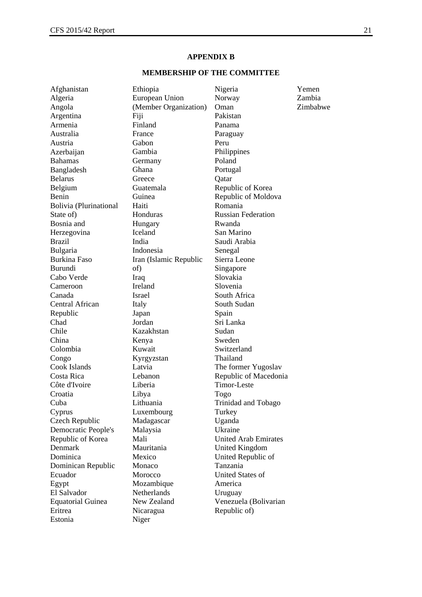### **APPENDIX B**

### **MEMBERSHIP OF THE COMMITTEE**

| Afghanistan              | Ethiopia               | Nigeria                     | Yemen    |
|--------------------------|------------------------|-----------------------------|----------|
| Algeria                  | European Union         | Norway                      | Zambia   |
| Angola                   | (Member Organization)  | Oman                        | Zimbabwe |
| Argentina                | Fiji                   | Pakistan                    |          |
| Armenia                  | Finland                | Panama                      |          |
| Australia                | France                 | Paraguay                    |          |
| Austria                  | Gabon                  | Peru                        |          |
| Azerbaijan               | Gambia                 | Philippines                 |          |
| <b>Bahamas</b>           | Germany                | Poland                      |          |
| Bangladesh               | Ghana                  | Portugal                    |          |
| <b>Belarus</b>           | Greece                 | Qatar                       |          |
| Belgium                  | Guatemala              | Republic of Korea           |          |
| Benin                    | Guinea                 | Republic of Moldova         |          |
| Bolivia (Plurinational   | Haiti                  | Romania                     |          |
| State of)                | Honduras               | <b>Russian Federation</b>   |          |
| Bosnia and               | Hungary                | Rwanda                      |          |
| Herzegovina              | Iceland                | San Marino                  |          |
| <b>Brazil</b>            | India                  | Saudi Arabia                |          |
| Bulgaria                 | Indonesia              | Senegal                     |          |
| <b>Burkina Faso</b>      | Iran (Islamic Republic | Sierra Leone                |          |
| Burundi                  | of)                    | Singapore                   |          |
| Cabo Verde               | Iraq                   | Slovakia                    |          |
| Cameroon                 | Ireland                | Slovenia                    |          |
| Canada                   | Israel                 | South Africa                |          |
| Central African          | Italy                  | South Sudan                 |          |
| Republic                 | Japan                  | Spain                       |          |
| Chad                     | Jordan                 | Sri Lanka                   |          |
| Chile                    | Kazakhstan             | Sudan                       |          |
| China                    | Kenya                  | Sweden                      |          |
| Colombia                 | Kuwait                 | Switzerland                 |          |
| Congo                    | Kyrgyzstan             | Thailand                    |          |
| Cook Islands             | Latvia                 | The former Yugoslav         |          |
| Costa Rica               | Lebanon                | Republic of Macedonia       |          |
| Côte d'Ivoire            | Liberia                | <b>Timor-Leste</b>          |          |
| Croatia                  | Libya                  | Togo                        |          |
| Cuba                     | Lithuania              | Trinidad and Tobago         |          |
| Cyprus                   | Luxembourg             | Turkey                      |          |
| Czech Republic           | Madagascar             | Uganda                      |          |
| Democratic People's      | Malaysia               | Ukraine                     |          |
| Republic of Korea        | Mali                   | <b>United Arab Emirates</b> |          |
| Denmark                  | Mauritania             | <b>United Kingdom</b>       |          |
| Dominica                 | Mexico                 | United Republic of          |          |
| Dominican Republic       | Monaco                 | Tanzania                    |          |
| Ecuador                  | Morocco                | <b>United States of</b>     |          |
| Egypt                    | Mozambique             | America                     |          |
| El Salvador              | Netherlands            | Uruguay                     |          |
| <b>Equatorial Guinea</b> | New Zealand            | Venezuela (Bolivarian       |          |
| Eritrea                  | Nicaragua              | Republic of)                |          |
| Estonia                  | Niger                  |                             |          |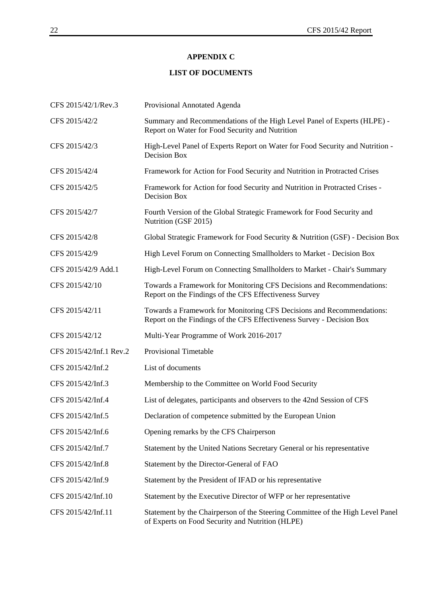### **APPENDIX C**

### **LIST OF DOCUMENTS**

| CFS 2015/42/1/Rev.3     | Provisional Annotated Agenda                                                                                                                   |  |
|-------------------------|------------------------------------------------------------------------------------------------------------------------------------------------|--|
| CFS 2015/42/2           | Summary and Recommendations of the High Level Panel of Experts (HLPE) -<br>Report on Water for Food Security and Nutrition                     |  |
| CFS 2015/42/3           | High-Level Panel of Experts Report on Water for Food Security and Nutrition -<br>Decision Box                                                  |  |
| CFS 2015/42/4           | Framework for Action for Food Security and Nutrition in Protracted Crises                                                                      |  |
| CFS 2015/42/5           | Framework for Action for food Security and Nutrition in Protracted Crises -<br><b>Decision Box</b>                                             |  |
| CFS 2015/42/7           | Fourth Version of the Global Strategic Framework for Food Security and<br>Nutrition (GSF 2015)                                                 |  |
| CFS 2015/42/8           | Global Strategic Framework for Food Security & Nutrition (GSF) - Decision Box                                                                  |  |
| CFS 2015/42/9           | High Level Forum on Connecting Smallholders to Market - Decision Box                                                                           |  |
| CFS 2015/42/9 Add.1     | High-Level Forum on Connecting Smallholders to Market - Chair's Summary                                                                        |  |
| CFS 2015/42/10          | Towards a Framework for Monitoring CFS Decisions and Recommendations:<br>Report on the Findings of the CFS Effectiveness Survey                |  |
| CFS 2015/42/11          | Towards a Framework for Monitoring CFS Decisions and Recommendations:<br>Report on the Findings of the CFS Effectiveness Survey - Decision Box |  |
| CFS 2015/42/12          | Multi-Year Programme of Work 2016-2017                                                                                                         |  |
| CFS 2015/42/Inf.1 Rev.2 | <b>Provisional Timetable</b>                                                                                                                   |  |
| CFS 2015/42/Inf.2       | List of documents                                                                                                                              |  |
| CFS 2015/42/Inf.3       | Membership to the Committee on World Food Security                                                                                             |  |
| CFS 2015/42/Inf.4       | List of delegates, participants and observers to the 42nd Session of CFS                                                                       |  |
| CFS 2015/42/Inf.5       | Declaration of competence submitted by the European Union                                                                                      |  |
| CFS 2015/42/Inf.6       | Opening remarks by the CFS Chairperson                                                                                                         |  |
| CFS 2015/42/Inf.7       | Statement by the United Nations Secretary General or his representative                                                                        |  |
| CFS 2015/42/Inf.8       | Statement by the Director-General of FAO                                                                                                       |  |
| CFS 2015/42/Inf.9       | Statement by the President of IFAD or his representative                                                                                       |  |
| CFS 2015/42/Inf.10      | Statement by the Executive Director of WFP or her representative                                                                               |  |
| CFS 2015/42/Inf.11      | Statement by the Chairperson of the Steering Committee of the High Level Panel<br>of Experts on Food Security and Nutrition (HLPE)             |  |